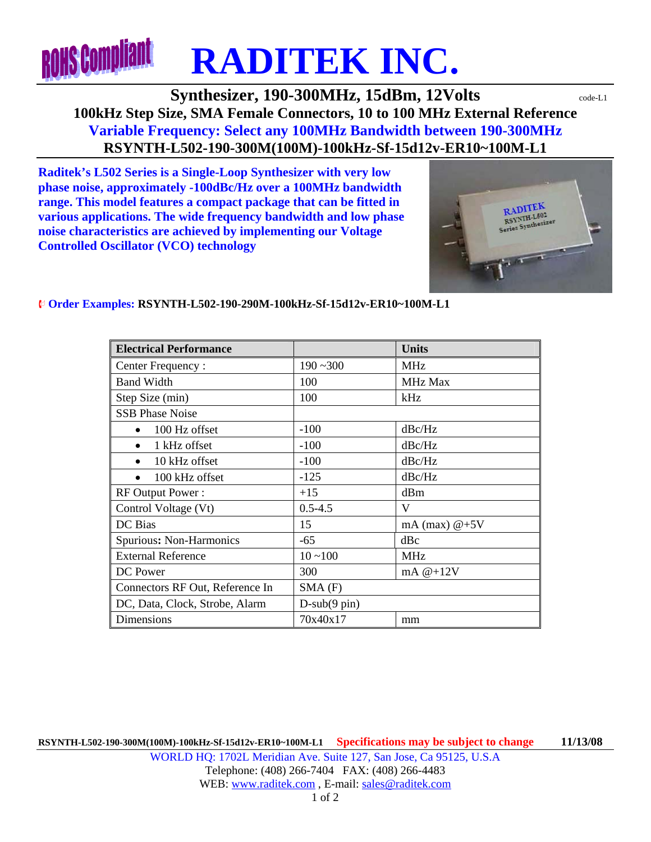

## **Synthesizer, 190-300MHz, 15dBm, 12Volts**  $\text{code-L1}$ **100kHz Step Size, SMA Female Connectors, 10 to 100 MHz External Reference Variable Frequency: Select any 100MHz Bandwidth between 190-300MHz RSYNTH-L502-190-300M(100M)-100kHz-Sf-15d12v-ER10~100M-L1**

**Raditek's L502 Series is a Single-Loop Synthesizer with very low phase noise, approximately -100dBc/Hz over a 100MHz bandwidth range. This model features a compact package that can be fitted in various applications. The wide frequency bandwidth and low phase noise characteristics are achieved by implementing our Voltage Controlled Oscillator (VCO) technology** 



## ¨ **Order Examples: RSYNTH-L502-190-290M-100kHz-Sf-15d12v-ER10~100M-L1**

| <b>Electrical Performance</b>   |                            | <b>Units</b>    |
|---------------------------------|----------------------------|-----------------|
| Center Frequency:               | $190 - 300$                | <b>MHz</b>      |
| <b>Band Width</b>               | 100                        | MHz Max         |
| Step Size (min)                 | 100                        | kHz             |
| <b>SSB Phase Noise</b>          |                            |                 |
| 100 Hz offset                   | $-100$                     | dBc/Hz          |
| 1 kHz offset                    | $-100$                     | dBc/Hz          |
| 10 kHz offset                   | $-100$                     | dBc/Hz          |
| 100 kHz offset                  | $-125$                     | dBc/Hz          |
| RF Output Power:                | $+15$                      | dBm             |
| Control Voltage (Vt)            | $0.5 - 4.5$                | V               |
| DC Bias                         | 15                         | mA (max) $@+5V$ |
| Spurious: Non-Harmonics         | -65                        | dBc             |
| <b>External Reference</b>       | $10 - 100$                 | <b>MHz</b>      |
| DC Power                        | 300                        | mA $@+12V$      |
| Connectors RF Out, Reference In | $SMA$ $(F)$                |                 |
| DC, Data, Clock, Strobe, Alarm  | $D$ -sub $(9 \text{ pin})$ |                 |
| Dimensions                      | 70x40x17                   | mm              |

**RSYNTH-L502-190-300M(100M)-100kHz-Sf-15d12v-ER10~100M-L1 Specifications may be subject to change 11/13/08** WORLD HQ: 1702L Meridian Ave. Suite 127, San Jose, Ca 95125, U.S.A Telephone: (408) 266-7404 FAX: (408) 266-4483 WEB: www.raditek.com, E-mail: sales@raditek.com